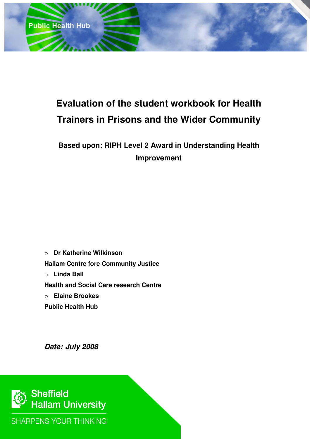

## **Evaluation of the student workbook for Health Trainers in Prisons and the Wider Community**

## **Based upon: RIPH Level 2 Award in Understanding Health Improvement**

o **Dr Katherine Wilkinson Hallam Centre fore Community Justice**  o **Linda Ball Health and Social Care research Centre**  o **Elaine Brookes Public Health Hub** 

**Date: July 2008** 



**SHARPENS YOUR THINKING**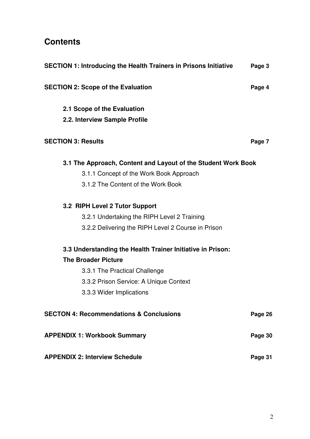### **Contents**

| <b>SECTION 1: Introducing the Health Trainers in Prisons Initiative</b> | Page 3  |
|-------------------------------------------------------------------------|---------|
| <b>SECTION 2: Scope of the Evaluation</b>                               | Page 4  |
| 2.1 Scope of the Evaluation                                             |         |
| 2.2. Interview Sample Profile                                           |         |
| <b>SECTION 3: Results</b>                                               | Page 7  |
| 3.1 The Approach, Content and Layout of the Student Work Book           |         |
| 3.1.1 Concept of the Work Book Approach                                 |         |
| 3.1.2 The Content of the Work Book                                      |         |
| 3.2 RIPH Level 2 Tutor Support                                          |         |
| 3.2.1 Undertaking the RIPH Level 2 Training                             |         |
| 3.2.2 Delivering the RIPH Level 2 Course in Prison                      |         |
| 3.3 Understanding the Health Trainer Initiative in Prison:              |         |
| <b>The Broader Picture</b>                                              |         |
| 3.3.1 The Practical Challenge                                           |         |
| 3.3.2 Prison Service: A Unique Context                                  |         |
| 3.3.3 Wider Implications                                                |         |
| <b>SECTON 4: Recommendations &amp; Conclusions</b>                      | Page 26 |
| <b>APPENDIX 1: Workbook Summary</b>                                     | Page 30 |
| <b>APPENDIX 2: Interview Schedule</b>                                   | Page 31 |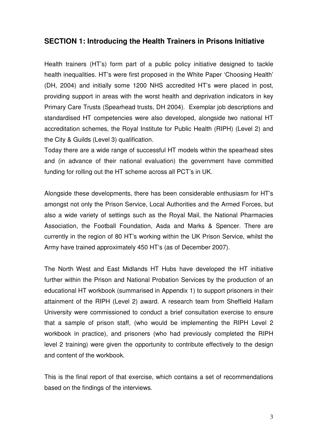#### **SECTION 1: Introducing the Health Trainers in Prisons Initiative**

Health trainers (HT's) form part of a public policy initiative designed to tackle health inequalities. HT's were first proposed in the White Paper 'Choosing Health' (DH, 2004) and initially some 1200 NHS accredited HT's were placed in post, providing support in areas with the worst health and deprivation indicators in key Primary Care Trusts (Spearhead trusts, DH 2004). Exemplar job descriptions and standardised HT competencies were also developed, alongside two national HT accreditation schemes, the Royal Institute for Public Health (RIPH) (Level 2) and the City & Guilds (Level 3) qualification.

Today there are a wide range of successful HT models within the spearhead sites and (in advance of their national evaluation) the government have committed funding for rolling out the HT scheme across all PCT's in UK.

Alongside these developments, there has been considerable enthusiasm for HT's amongst not only the Prison Service, Local Authorities and the Armed Forces, but also a wide variety of settings such as the Royal Mail, the National Pharmacies Association, the Football Foundation, Asda and Marks & Spencer. There are currently in the region of 80 HT's working within the UK Prison Service, whilst the Army have trained approximately 450 HT's (as of December 2007).

The North West and East Midlands HT Hubs have developed the HT initiative further within the Prison and National Probation Services by the production of an educational HT workbook (summarised in Appendix 1) to support prisoners in their attainment of the RIPH (Level 2) award. A research team from Sheffield Hallam University were commissioned to conduct a brief consultation exercise to ensure that a sample of prison staff, (who would be implementing the RIPH Level 2 workbook in practice), and prisoners (who had previously completed the RIPH level 2 training) were given the opportunity to contribute effectively to the design and content of the workbook.

This is the final report of that exercise, which contains a set of recommendations based on the findings of the interviews.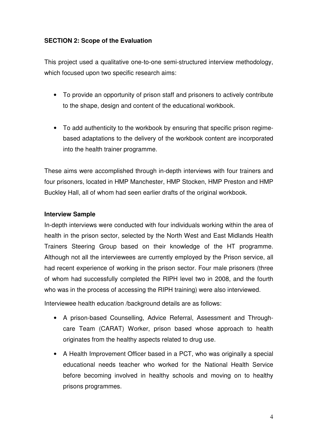#### **SECTION 2: Scope of the Evaluation**

This project used a qualitative one-to-one semi-structured interview methodology, which focused upon two specific research aims:

- To provide an opportunity of prison staff and prisoners to actively contribute to the shape, design and content of the educational workbook.
- To add authenticity to the workbook by ensuring that specific prison regimebased adaptations to the delivery of the workbook content are incorporated into the health trainer programme.

These aims were accomplished through in-depth interviews with four trainers and four prisoners, located in HMP Manchester, HMP Stocken, HMP Preston and HMP Buckley Hall, all of whom had seen earlier drafts of the original workbook.

#### **Interview Sample**

In-depth interviews were conducted with four individuals working within the area of health in the prison sector, selected by the North West and East Midlands Health Trainers Steering Group based on their knowledge of the HT programme. Although not all the interviewees are currently employed by the Prison service, all had recent experience of working in the prison sector. Four male prisoners (three of whom had successfully completed the RIPH level two in 2008, and the fourth who was in the process of accessing the RIPH training) were also interviewed.

Interviewee health education /background details are as follows:

- A prison-based Counselling, Advice Referral, Assessment and Throughcare Team (CARAT) Worker, prison based whose approach to health originates from the healthy aspects related to drug use.
- A Health Improvement Officer based in a PCT, who was originally a special educational needs teacher who worked for the National Health Service before becoming involved in healthy schools and moving on to healthy prisons programmes.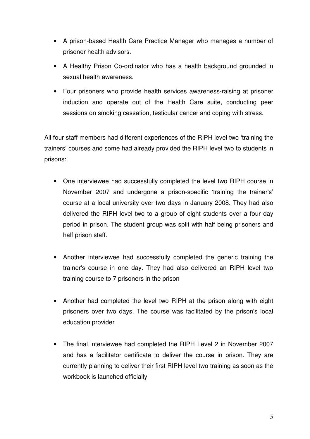- A prison-based Health Care Practice Manager who manages a number of prisoner health advisors.
- A Healthy Prison Co-ordinator who has a health background grounded in sexual health awareness.
- Four prisoners who provide health services awareness-raising at prisoner induction and operate out of the Health Care suite, conducting peer sessions on smoking cessation, testicular cancer and coping with stress.

All four staff members had different experiences of the RIPH level two 'training the trainers' courses and some had already provided the RIPH level two to students in prisons:

- One interviewee had successfully completed the level two RIPH course in November 2007 and undergone a prison-specific 'training the trainer's' course at a local university over two days in January 2008. They had also delivered the RIPH level two to a group of eight students over a four day period in prison. The student group was split with half being prisoners and half prison staff.
- Another interviewee had successfully completed the generic training the trainer's course in one day. They had also delivered an RIPH level two training course to 7 prisoners in the prison
- Another had completed the level two RIPH at the prison along with eight prisoners over two days. The course was facilitated by the prison's local education provider
- The final interviewee had completed the RIPH Level 2 in November 2007 and has a facilitator certificate to deliver the course in prison. They are currently planning to deliver their first RIPH level two training as soon as the workbook is launched officially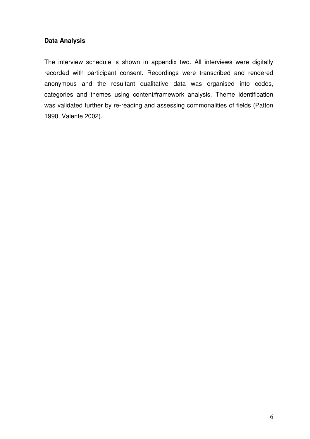#### **Data Analysis**

The interview schedule is shown in appendix two. All interviews were digitally recorded with participant consent. Recordings were transcribed and rendered anonymous and the resultant qualitative data was organised into codes, categories and themes using content/framework analysis. Theme identification was validated further by re-reading and assessing commonalities of fields (Patton 1990, Valente 2002).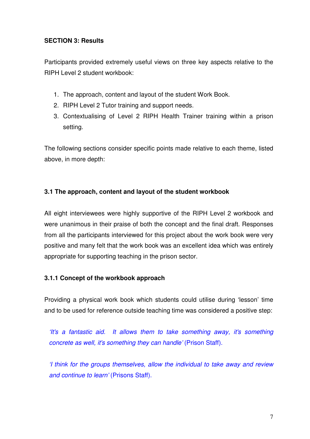#### **SECTION 3: Results**

Participants provided extremely useful views on three key aspects relative to the RIPH Level 2 student workbook:

- 1. The approach, content and layout of the student Work Book.
- 2. RIPH Level 2 Tutor training and support needs.
- 3. Contextualising of Level 2 RIPH Health Trainer training within a prison setting.

The following sections consider specific points made relative to each theme, listed above, in more depth:

#### **3.1 The approach, content and layout of the student workbook**

All eight interviewees were highly supportive of the RIPH Level 2 workbook and were unanimous in their praise of both the concept and the final draft. Responses from all the participants interviewed for this project about the work book were very positive and many felt that the work book was an excellent idea which was entirely appropriate for supporting teaching in the prison sector.

#### **3.1.1 Concept of the workbook approach**

Providing a physical work book which students could utilise during 'lesson' time and to be used for reference outside teaching time was considered a positive step:

'It's a fantastic aid. It allows them to take something away, it's something concrete as well, it's something they can handle' (Prison Staff).

'I think for the groups themselves, allow the individual to take away and review and continue to learn' (Prisons Staff).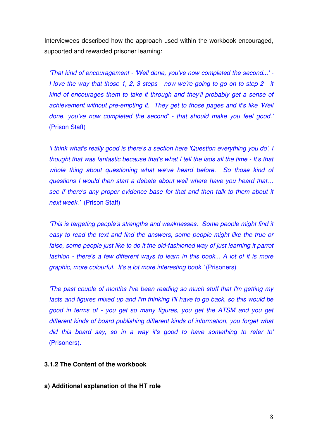Interviewees described how the approach used within the workbook encouraged, supported and rewarded prisoner learning:

'That kind of encouragement - 'Well done, you've now completed the second...' - I love the way that those 1, 2, 3 steps - now we're going to go on to step 2 - it kind of encourages them to take it through and they'll probably get a sense of achievement without pre-empting it. They get to those pages and it's like 'Well done, you've now completed the second' - that should make you feel good.' (Prison Staff)

'I think what's really good is there's a section here 'Question everything you do', I thought that was fantastic because that's what I tell the lads all the time - It's that whole thing about questioning what we've heard before. So those kind of questions I would then start a debate about well where have you heard that… see if there's any proper evidence base for that and then talk to them about it next week.' (Prison Staff)

'This is targeting people's strengths and weaknesses. Some people might find it easy to read the text and find the answers, some people might like the true or false, some people just like to do it the old-fashioned way of just learning it parrot fashion - there's a few different ways to learn in this book... A lot of it is more graphic, more colourful. It's a lot more interesting book.' (Prisoners)

'The past couple of months I've been reading so much stuff that I'm getting my facts and figures mixed up and I'm thinking I'll have to go back, so this would be good in terms of - you get so many figures, you get the ATSM and you get different kinds of board publishing different kinds of information, you forget what did this board say, so in a way it's good to have something to refer to' (Prisoners).

#### **3.1.2 The Content of the workbook**

**a) Additional explanation of the HT role**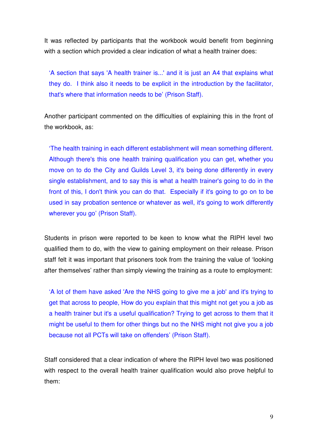It was reflected by participants that the workbook would benefit from beginning with a section which provided a clear indication of what a health trainer does:

'A section that says 'A health trainer is...' and it is just an A4 that explains what they do. I think also it needs to be explicit in the introduction by the facilitator, that's where that information needs to be' (Prison Staff).

Another participant commented on the difficulties of explaining this in the front of the workbook, as:

'The health training in each different establishment will mean something different. Although there's this one health training qualification you can get, whether you move on to do the City and Guilds Level 3, it's being done differently in every single establishment, and to say this is what a health trainer's going to do in the front of this, I don't think you can do that. Especially if it's going to go on to be used in say probation sentence or whatever as well, it's going to work differently wherever you go' (Prison Staff).

Students in prison were reported to be keen to know what the RIPH level two qualified them to do, with the view to gaining employment on their release. Prison staff felt it was important that prisoners took from the training the value of 'looking after themselves' rather than simply viewing the training as a route to employment:

'A lot of them have asked 'Are the NHS going to give me a job' and it's trying to get that across to people, How do you explain that this might not get you a job as a health trainer but it's a useful qualification? Trying to get across to them that it might be useful to them for other things but no the NHS might not give you a job because not all PCTs will take on offenders' (Prison Staff).

Staff considered that a clear indication of where the RIPH level two was positioned with respect to the overall health trainer qualification would also prove helpful to them: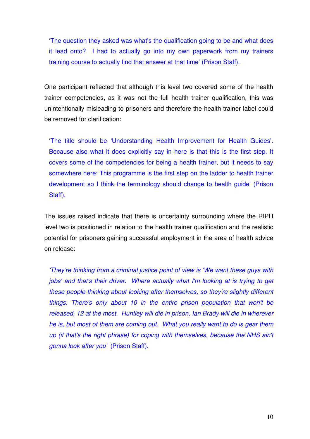'The question they asked was what's the qualification going to be and what does it lead onto? I had to actually go into my own paperwork from my trainers training course to actually find that answer at that time' (Prison Staff).

One participant reflected that although this level two covered some of the health trainer competencies, as it was not the full health trainer qualification, this was unintentionally misleading to prisoners and therefore the health trainer label could be removed for clarification:

'The title should be 'Understanding Health Improvement for Health Guides'. Because also what it does explicitly say in here is that this is the first step. It covers some of the competencies for being a health trainer, but it needs to say somewhere here: This programme is the first step on the ladder to health trainer development so I think the terminology should change to health guide' (Prison Staff).

The issues raised indicate that there is uncertainty surrounding where the RIPH level two is positioned in relation to the health trainer qualification and the realistic potential for prisoners gaining successful employment in the area of health advice on release:

'They're thinking from a criminal justice point of view is 'We want these guys with jobs' and that's their driver. Where actually what I'm looking at is trying to get these people thinking about looking after themselves, so they're slightly different things. There's only about 10 in the entire prison population that won't be released, 12 at the most. Huntley will die in prison, Ian Brady will die in wherever he is, but most of them are coming out. What you really want to do is gear them up (if that's the right phrase) for coping with themselves, because the NHS ain't gonna look after you' (Prison Staff).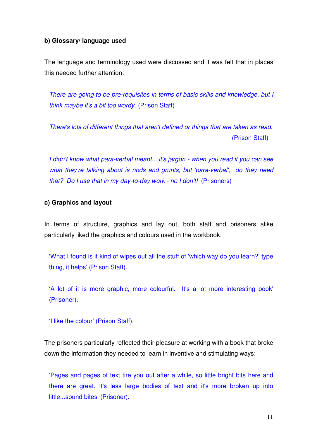#### **b) Glossary/ language used**

The language and terminology used were discussed and it was felt that in places this needed further attention:

There are going to be pre-requisites in terms of basic skills and knowledge, but I think maybe it's a bit too wordy. (Prison Staff)

There's lots of different things that aren't defined or things that are taken as read. (Prison Staff)

I didn't know what para-verbal meant....it's jargon - when you read it you can see what they're talking about is nods and grunts, but 'para-verbal', do they need that? Do I use that in my day-to-day work - no I don't! (Prisoners)

#### **c) Graphics and layout**

In terms of structure, graphics and lay out, both staff and prisoners alike particularly liked the graphics and colours used in the workbook:

'What I found is it kind of wipes out all the stuff of 'which way do you learn?' type thing, it helps' (Prison Staff).

'A lot of it is more graphic, more colourful. It's a lot more interesting book' (Prisoner).

'I like the colour' (Prison Staff).

The prisoners particularly reflected their pleasure at working with a book that broke down the information they needed to learn in inventive and stimulating ways:

'Pages and pages of text tire you out after a while, so little bright bits here and there are great. It's less large bodies of text and it's more broken up into little...sound bites' (Prisoner).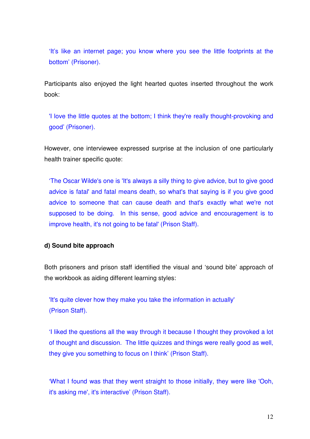'It's like an internet page; you know where you see the little footprints at the bottom' (Prisoner).

Participants also enjoyed the light hearted quotes inserted throughout the work book:

'I love the little quotes at the bottom; I think they're really thought-provoking and good' (Prisoner).

However, one interviewee expressed surprise at the inclusion of one particularly health trainer specific quote:

'The Oscar Wilde's one is 'It's always a silly thing to give advice, but to give good advice is fatal' and fatal means death, so what's that saying is if you give good advice to someone that can cause death and that's exactly what we're not supposed to be doing. In this sense, good advice and encouragement is to improve health, it's not going to be fatal' (Prison Staff).

#### **d) Sound bite approach**

Both prisoners and prison staff identified the visual and 'sound bite' approach of the workbook as aiding different learning styles:

'It's quite clever how they make you take the information in actually' (Prison Staff).

'I liked the questions all the way through it because I thought they provoked a lot of thought and discussion. The little quizzes and things were really good as well, they give you something to focus on I think' (Prison Staff).

'What I found was that they went straight to those initially, they were like 'Ooh, it's asking me', it's interactive' (Prison Staff).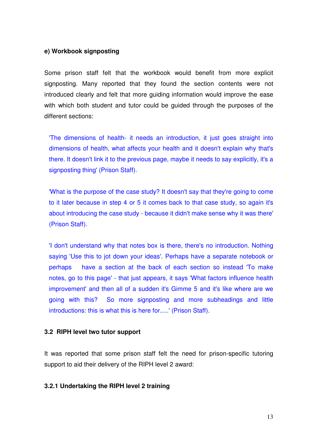#### **e) Workbook signposting**

Some prison staff felt that the workbook would benefit from more explicit signposting. Many reported that they found the section contents were not introduced clearly and felt that more guiding information would improve the ease with which both student and tutor could be guided through the purposes of the different sections:

'The dimensions of health- it needs an introduction, it just goes straight into dimensions of health, what affects your health and it doesn't explain why that's there. It doesn't link it to the previous page, maybe it needs to say explicitly, it's a signposting thing' (Prison Staff).

'What is the purpose of the case study? It doesn't say that they're going to come to it later because in step 4 or 5 it comes back to that case study, so again it's about introducing the case study - because it didn't make sense why it was there' (Prison Staff).

'I don't understand why that notes box is there, there's no introduction. Nothing saying 'Use this to jot down your ideas'. Perhaps have a separate notebook or perhaps have a section at the back of each section so instead 'To make notes, go to this page' - that just appears, it says 'What factors influence health improvement' and then all of a sudden it's Gimme 5 and it's like where are we going with this? So more signposting and more subheadings and little introductions: this is what this is here for.....' (Prison Staff).

#### **3.2 RIPH level two tutor support**

It was reported that some prison staff felt the need for prison-specific tutoring support to aid their delivery of the RIPH level 2 award:

#### **3.2.1 Undertaking the RIPH level 2 training**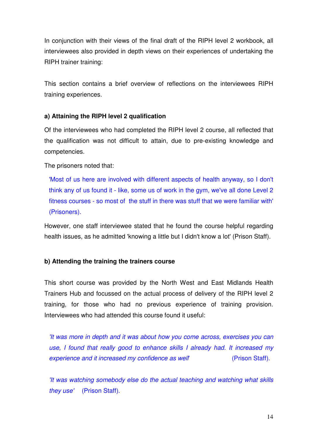In conjunction with their views of the final draft of the RIPH level 2 workbook, all interviewees also provided in depth views on their experiences of undertaking the RIPH trainer training:

This section contains a brief overview of reflections on the interviewees RIPH training experiences.

#### **a) Attaining the RIPH level 2 qualification**

Of the interviewees who had completed the RIPH level 2 course, all reflected that the qualification was not difficult to attain, due to pre-existing knowledge and competencies.

The prisoners noted that:

'Most of us here are involved with different aspects of health anyway, so I don't think any of us found it - like, some us of work in the gym, we've all done Level 2 fitness courses - so most of the stuff in there was stuff that we were familiar with' (Prisoners).

However, one staff interviewee stated that he found the course helpful regarding health issues, as he admitted 'knowing a little but I didn't know a lot' (Prison Staff).

#### **b) Attending the training the trainers course**

This short course was provided by the North West and East Midlands Health Trainers Hub and focussed on the actual process of delivery of the RIPH level 2 training, for those who had no previous experience of training provision. Interviewees who had attended this course found it useful:

'It was more in depth and it was about how you come across, exercises you can use, I found that really good to enhance skills I already had. It increased my experience and it increased my confidence as well experience and it increased my confidence as well

'It was watching somebody else do the actual teaching and watching what skills they use' (Prison Staff).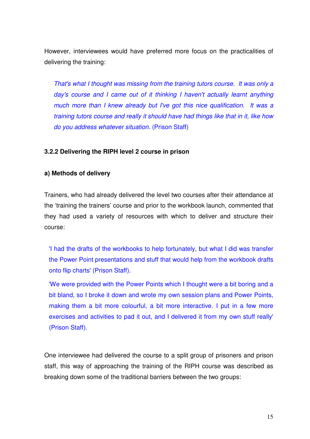However, interviewees would have preferred more focus on the practicalities of delivering the training:

That's what I thought was missing from the training tutors course. It was only a day's course and I came out of it thinking I haven't actually learnt anything much more than I knew already but I've got this nice qualification. It was a training tutors course and really it should have had things like that in it, like how do you address whatever situation. (Prison Staff)

#### **3.2.2 Delivering the RIPH level 2 course in prison**

#### **a) Methods of delivery**

Trainers, who had already delivered the level two courses after their attendance at the 'training the trainers' course and prior to the workbook launch, commented that they had used a variety of resources with which to deliver and structure their course:

'I had the drafts of the workbooks to help fortunately, but what I did was transfer the Power Point presentations and stuff that would help from the workbook drafts onto flip charts' (Prison Staff).

'We were provided with the Power Points which I thought were a bit boring and a bit bland, so I broke it down and wrote my own session plans and Power Points, making them a bit more colourful, a bit more interactive. I put in a few more exercises and activities to pad it out, and I delivered it from my own stuff really' (Prison Staff).

One interviewee had delivered the course to a split group of prisoners and prison staff, this way of approaching the training of the RIPH course was described as breaking down some of the traditional barriers between the two groups: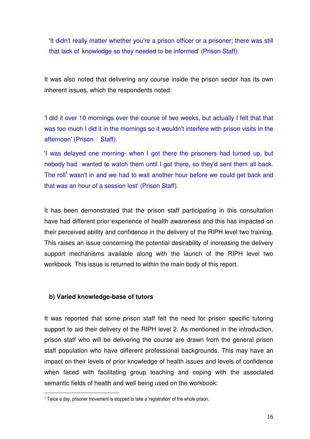'It didn't really matter whether you're a prison officer or a prisoner; there was still that lack of knowledge so they needed to be informed' (Prison Staff).

It was also noted that delivering any course inside the prison sector has its own inherent issues, which the respondents noted:

'I did it over 10 mornings over the course of two weeks, but actually I felt that that was too much I did it in the mornings so it wouldn't interfere with prison visits in the afternoon' (Prison Staff).

'I was delayed one morning- when I got there the prisoners had turned up, but nobody had wanted to watch them until I got there, so they'd sent them all back. The roll<sup>1</sup> wasn't in and we had to wait another hour before we could get back and that was an hour of a session lost' (Prison Staff).

It has been demonstrated that the prison staff participating in this consultation have had different prior experience of health awareness and this has impacted on their perceived ability and confidence in the delivery of the RIPH level two training. This raises an issue concerning the potential desirability of increasing the delivery support mechanisms available along with the launch of the RIPH level two workbook. This issue is returned to within the main body of this report.

#### **b) Varied knowledge-base of tutors**

l.

It was reported that some prison staff felt the need for prison specific tutoring support to aid their delivery of the RIPH level 2. As mentioned in the introduction, prison staff who will be delivering the course are drawn from the general prison staff population who have different professional backgrounds. This may have an impact on their levels of prior knowledge of health issues and levels of confidence when faced with facilitating group teaching and coping with the associated semantic fields of health and well being used on the workbook:

<sup>1</sup> Twice a day, prisoner movement is stopped to take a 'registration' of the whole prison.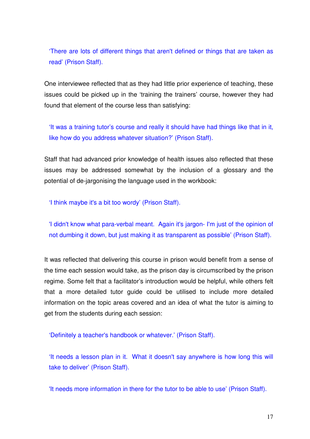'There are lots of different things that aren't defined or things that are taken as read' (Prison Staff).

One interviewee reflected that as they had little prior experience of teaching, these issues could be picked up in the 'training the trainers' course, however they had found that element of the course less than satisfying:

'It was a training tutor's course and really it should have had things like that in it, like how do you address whatever situation?' (Prison Staff).

Staff that had advanced prior knowledge of health issues also reflected that these issues may be addressed somewhat by the inclusion of a glossary and the potential of de-jargonising the language used in the workbook:

'I think maybe it's a bit too wordy' (Prison Staff).

'I didn't know what para-verbal meant. Again it's jargon- I'm just of the opinion of not dumbing it down, but just making it as transparent as possible' (Prison Staff).

It was reflected that delivering this course in prison would benefit from a sense of the time each session would take, as the prison day is circumscribed by the prison regime. Some felt that a facilitator's introduction would be helpful, while others felt that a more detailed tutor guide could be utilised to include more detailed information on the topic areas covered and an idea of what the tutor is aiming to get from the students during each session:

'Definitely a teacher's handbook or whatever.' (Prison Staff).

'It needs a lesson plan in it. What it doesn't say anywhere is how long this will take to deliver' (Prison Staff).

'It needs more information in there for the tutor to be able to use' (Prison Staff).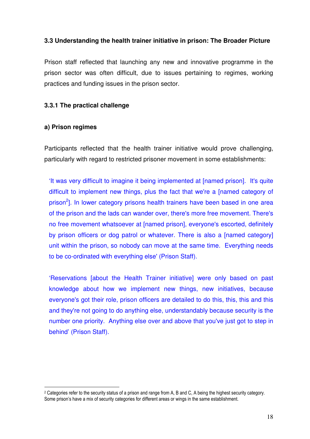#### **3.3 Understanding the health trainer initiative in prison: The Broader Picture**

Prison staff reflected that launching any new and innovative programme in the prison sector was often difficult, due to issues pertaining to regimes, working practices and funding issues in the prison sector.

#### **3.3.1 The practical challenge**

#### **a) Prison regimes**

l.

Participants reflected that the health trainer initiative would prove challenging, particularly with regard to restricted prisoner movement in some establishments:

'It was very difficult to imagine it being implemented at [named prison]. It's quite difficult to implement new things, plus the fact that we're a [named category of prison<sup>2</sup>]. In lower category prisons health trainers have been based in one area of the prison and the lads can wander over, there's more free movement. There's no free movement whatsoever at [named prison], everyone's escorted, definitely by prison officers or dog patrol or whatever. There is also a [named category] unit within the prison, so nobody can move at the same time. Everything needs to be co-ordinated with everything else' (Prison Staff).

'Reservations [about the Health Trainer initiative] were only based on past knowledge about how we implement new things, new initiatives, because everyone's got their role, prison officers are detailed to do this, this, this and this and they're not going to do anything else, understandably because security is the number one priority. Anything else over and above that you've just got to step in behind' (Prison Staff).

<sup>2</sup> Categories refer to the security status of a prison and range from A, B and C, A being the highest security category. Some prison's have a mix of security categories for different areas or wings in the same establishment.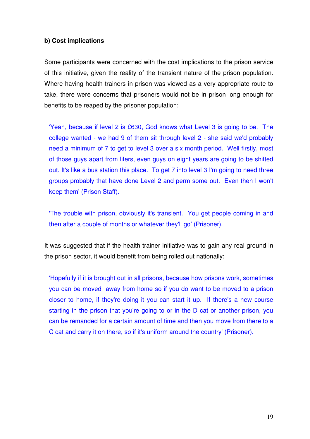#### **b) Cost implications**

Some participants were concerned with the cost implications to the prison service of this initiative, given the reality of the transient nature of the prison population. Where having health trainers in prison was viewed as a very appropriate route to take, there were concerns that prisoners would not be in prison long enough for benefits to be reaped by the prisoner population:

'Yeah, because if level 2 is £630, God knows what Level 3 is going to be. The college wanted - we had 9 of them sit through level 2 - she said we'd probably need a minimum of 7 to get to level 3 over a six month period. Well firstly, most of those guys apart from lifers, even guys on eight years are going to be shifted out. It's like a bus station this place. To get 7 into level 3 I'm going to need three groups probably that have done Level 2 and perm some out. Even then I won't keep them' (Prison Staff).

'The trouble with prison, obviously it's transient. You get people coming in and then after a couple of months or whatever they'll go' (Prisoner).

It was suggested that if the health trainer initiative was to gain any real ground in the prison sector, it would benefit from being rolled out nationally:

'Hopefully if it is brought out in all prisons, because how prisons work, sometimes you can be moved away from home so if you do want to be moved to a prison closer to home, if they're doing it you can start it up. If there's a new course starting in the prison that you're going to or in the D cat or another prison, you can be remanded for a certain amount of time and then you move from there to a C cat and carry it on there, so if it's uniform around the country' (Prisoner).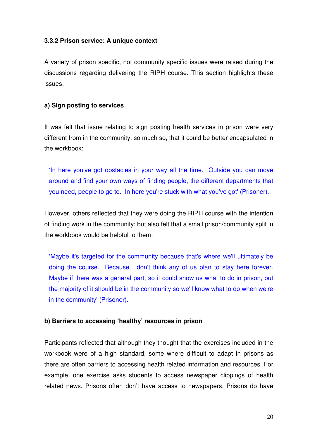#### **3.3.2 Prison service: A unique context**

A variety of prison specific, not community specific issues were raised during the discussions regarding delivering the RIPH course. This section highlights these issues.

#### **a) Sign posting to services**

It was felt that issue relating to sign posting health services in prison were very different from in the community, so much so, that it could be better encapsulated in the workbook:

'In here you've got obstacles in your way all the time. Outside you can move around and find your own ways of finding people, the different departments that you need, people to go to. In here you're stuck with what you've got' (Prisoner).

However, others reflected that they were doing the RIPH course with the intention of finding work in the community; but also felt that a small prison/community split in the workbook would be helpful to them:

'Maybe it's targeted for the community because that's where we'll ultimately be doing the course. Because I don't think any of us plan to stay here forever. Maybe if there was a general part, so it could show us what to do in prison, but the majority of it should be in the community so we'll know what to do when we're in the community' (Prisoner).

#### **b) Barriers to accessing 'healthy' resources in prison**

Participants reflected that although they thought that the exercises included in the workbook were of a high standard, some where difficult to adapt in prisons as there are often barriers to accessing health related information and resources. For example, one exercise asks students to access newspaper clippings of health related news. Prisons often don't have access to newspapers. Prisons do have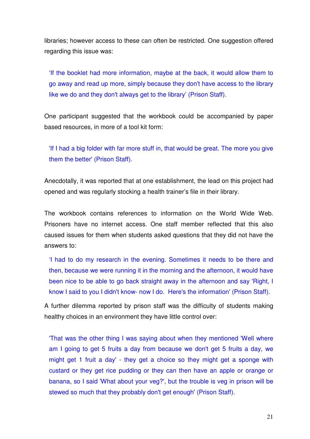libraries; however access to these can often be restricted. One suggestion offered regarding this issue was:

'If the booklet had more information, maybe at the back, it would allow them to go away and read up more, simply because they don't have access to the library like we do and they don't always get to the library' (Prison Staff).

One participant suggested that the workbook could be accompanied by paper based resources, in more of a tool kit form:

'If I had a big folder with far more stuff in, that would be great. The more you give them the better' (Prison Staff).

Anecdotally, it was reported that at one establishment, the lead on this project had opened and was regularly stocking a health trainer's file in their library.

The workbook contains references to information on the World Wide Web. Prisoners have no internet access. One staff member reflected that this also caused issues for them when students asked questions that they did not have the answers to:

'I had to do my research in the evening. Sometimes it needs to be there and then, because we were running it in the morning and the afternoon, it would have been nice to be able to go back straight away in the afternoon and say 'Right, I know I said to you I didn't know- now I do. Here's the information' (Prison Staff).

A further dilemma reported by prison staff was the difficulty of students making healthy choices in an environment they have little control over:

'That was the other thing I was saying about when they mentioned 'Well where am I going to get 5 fruits a day from because we don't get 5 fruits a day, we might get 1 fruit a day' - they get a choice so they might get a sponge with custard or they get rice pudding or they can then have an apple or orange or banana, so I said 'What about your veg?', but the trouble is veg in prison will be stewed so much that they probably don't get enough' (Prison Staff).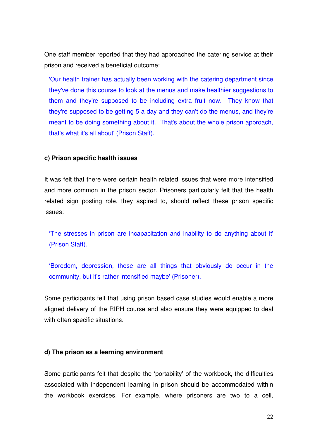One staff member reported that they had approached the catering service at their prison and received a beneficial outcome:

'Our health trainer has actually been working with the catering department since they've done this course to look at the menus and make healthier suggestions to them and they're supposed to be including extra fruit now. They know that they're supposed to be getting 5 a day and they can't do the menus, and they're meant to be doing something about it. That's about the whole prison approach, that's what it's all about' (Prison Staff).

#### **c) Prison specific health issues**

It was felt that there were certain health related issues that were more intensified and more common in the prison sector. Prisoners particularly felt that the health related sign posting role, they aspired to, should reflect these prison specific issues:

'The stresses in prison are incapacitation and inability to do anything about it' (Prison Staff).

'Boredom, depression, these are all things that obviously do occur in the community, but it's rather intensified maybe' (Prisoner).

Some participants felt that using prison based case studies would enable a more aligned delivery of the RIPH course and also ensure they were equipped to deal with often specific situations.

#### **d) The prison as a learning environment**

Some participants felt that despite the 'portability' of the workbook, the difficulties associated with independent learning in prison should be accommodated within the workbook exercises. For example, where prisoners are two to a cell,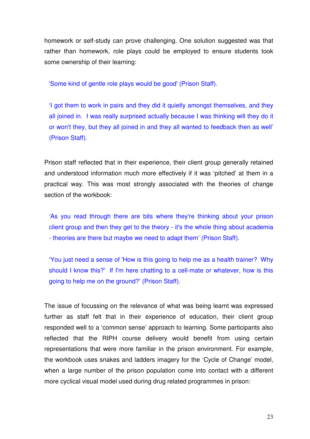homework or self-study can prove challenging. One solution suggested was that rather than homework, role plays could be employed to ensure students took some ownership of their learning:

'Some kind of gentle role plays would be good' (Prison Staff).

'I got them to work in pairs and they did it quietly amongst themselves, and they all joined in. I was really surprised actually because I was thinking will they do it or won't they, but they all joined in and they all wanted to feedback then as well' (Prison Staff).

Prison staff reflected that in their experience, their client group generally retained and understood information much more effectively if it was 'pitched' at them in a practical way. This was most strongly associated with the theories of change section of the workbook:

'As you read through there are bits where they're thinking about your prison client group and then they get to the theory - it's the whole thing about academia - theories are there but maybe we need to adapt them' (Prison Staff).

'You just need a sense of 'How is this going to help me as a health trainer? Why should I know this?' If I'm here chatting to a cell-mate or whatever, how is this going to help me on the ground?' (Prison Staff).

The issue of focussing on the relevance of what was being learnt was expressed further as staff felt that in their experience of education, their client group responded well to a 'common sense' approach to learning. Some participants also reflected that the RIPH course delivery would benefit from using certain representations that were more familiar in the prison environment. For example, the workbook uses snakes and ladders imagery for the 'Cycle of Change' model, when a large number of the prison population come into contact with a different more cyclical visual model used during drug related programmes in prison: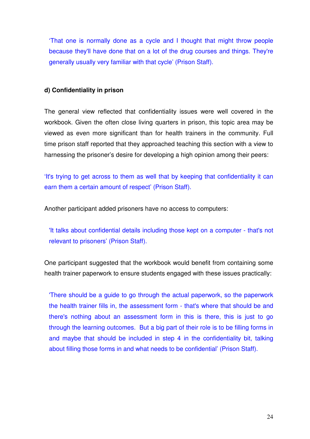'That one is normally done as a cycle and I thought that might throw people because they'll have done that on a lot of the drug courses and things. They're generally usually very familiar with that cycle' (Prison Staff).

#### **d) Confidentiality in prison**

The general view reflected that confidentiality issues were well covered in the workbook. Given the often close living quarters in prison, this topic area may be viewed as even more significant than for health trainers in the community. Full time prison staff reported that they approached teaching this section with a view to harnessing the prisoner's desire for developing a high opinion among their peers:

'It's trying to get across to them as well that by keeping that confidentiality it can earn them a certain amount of respect' (Prison Staff).

Another participant added prisoners have no access to computers:

'It talks about confidential details including those kept on a computer - that's not relevant to prisoners' (Prison Staff).

One participant suggested that the workbook would benefit from containing some health trainer paperwork to ensure students engaged with these issues practically:

'There should be a guide to go through the actual paperwork, so the paperwork the health trainer fills in, the assessment form - that's where that should be and there's nothing about an assessment form in this is there, this is just to go through the learning outcomes. But a big part of their role is to be filling forms in and maybe that should be included in step 4 in the confidentiality bit, talking about filling those forms in and what needs to be confidential' (Prison Staff).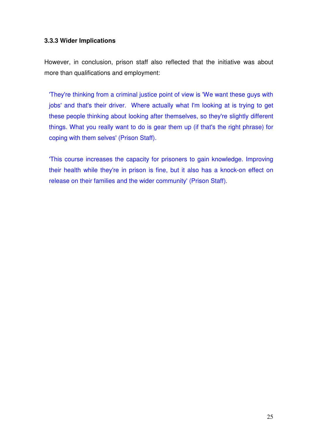#### **3.3.3 Wider Implications**

However, in conclusion, prison staff also reflected that the initiative was about more than qualifications and employment:

'They're thinking from a criminal justice point of view is 'We want these guys with jobs' and that's their driver. Where actually what I'm looking at is trying to get these people thinking about looking after themselves, so they're slightly different things. What you really want to do is gear them up (if that's the right phrase) for coping with them selves' (Prison Staff).

'This course increases the capacity for prisoners to gain knowledge. Improving their health while they're in prison is fine, but it also has a knock-on effect on release on their families and the wider community' (Prison Staff).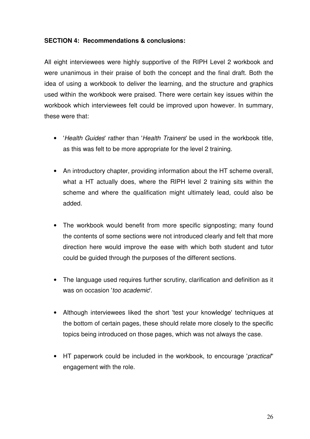#### **SECTION 4: Recommendations & conclusions:**

All eight interviewees were highly supportive of the RIPH Level 2 workbook and were unanimous in their praise of both the concept and the final draft. Both the idea of using a workbook to deliver the learning, and the structure and graphics used within the workbook were praised. There were certain key issues within the workbook which interviewees felt could be improved upon however. In summary, these were that:

- 'Health Guides' rather than 'Health Trainers' be used in the workbook title, as this was felt to be more appropriate for the level 2 training.
- An introductory chapter, providing information about the HT scheme overall, what a HT actually does, where the RIPH level 2 training sits within the scheme and where the qualification might ultimately lead, could also be added.
- The workbook would benefit from more specific signposting; many found the contents of some sections were not introduced clearly and felt that more direction here would improve the ease with which both student and tutor could be guided through the purposes of the different sections.
- The language used requires further scrutiny, clarification and definition as it was on occasion 'too academic'.
- Although interviewees liked the short 'test your knowledge' techniques at the bottom of certain pages, these should relate more closely to the specific topics being introduced on those pages, which was not always the case.
- HT paperwork could be included in the workbook, to encourage 'practical'' engagement with the role.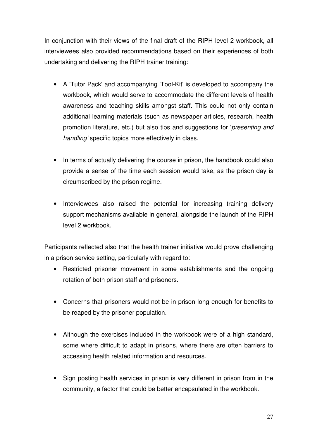In conjunction with their views of the final draft of the RIPH level 2 workbook, all interviewees also provided recommendations based on their experiences of both undertaking and delivering the RIPH trainer training:

- A 'Tutor Pack' and accompanying 'Tool-Kit' is developed to accompany the workbook, which would serve to accommodate the different levels of health awareness and teaching skills amongst staff. This could not only contain additional learning materials (such as newspaper articles, research, health promotion literature, etc.) but also tips and suggestions for 'presenting and handling' specific topics more effectively in class.
- In terms of actually delivering the course in prison, the handbook could also provide a sense of the time each session would take, as the prison day is circumscribed by the prison regime.
- Interviewees also raised the potential for increasing training delivery support mechanisms available in general, alongside the launch of the RIPH level 2 workbook.

Participants reflected also that the health trainer initiative would prove challenging in a prison service setting, particularly with regard to:

- Restricted prisoner movement in some establishments and the ongoing rotation of both prison staff and prisoners.
- Concerns that prisoners would not be in prison long enough for benefits to be reaped by the prisoner population.
- Although the exercises included in the workbook were of a high standard, some where difficult to adapt in prisons, where there are often barriers to accessing health related information and resources.
- Sign posting health services in prison is very different in prison from in the community, a factor that could be better encapsulated in the workbook.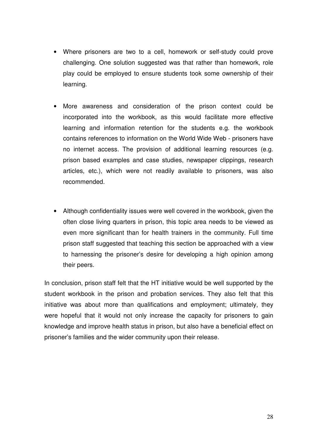- Where prisoners are two to a cell, homework or self-study could prove challenging. One solution suggested was that rather than homework, role play could be employed to ensure students took some ownership of their learning.
- More awareness and consideration of the prison context could be incorporated into the workbook, as this would facilitate more effective learning and information retention for the students e.g. the workbook contains references to information on the World Wide Web - prisoners have no internet access. The provision of additional learning resources (e.g. prison based examples and case studies, newspaper clippings, research articles, etc.), which were not readily available to prisoners, was also recommended.
- Although confidentiality issues were well covered in the workbook, given the often close living quarters in prison, this topic area needs to be viewed as even more significant than for health trainers in the community. Full time prison staff suggested that teaching this section be approached with a view to harnessing the prisoner's desire for developing a high opinion among their peers.

In conclusion, prison staff felt that the HT initiative would be well supported by the student workbook in the prison and probation services. They also felt that this initiative was about more than qualifications and employment; ultimately, they were hopeful that it would not only increase the capacity for prisoners to gain knowledge and improve health status in prison, but also have a beneficial effect on prisoner's families and the wider community upon their release.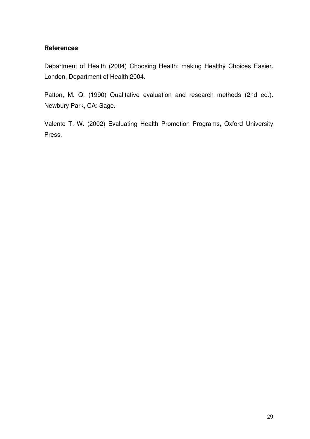#### **References**

Department of Health (2004) Choosing Health: making Healthy Choices Easier. London, Department of Health 2004.

Patton, M. Q. (1990) Qualitative evaluation and research methods (2nd ed.). Newbury Park, CA: Sage.

Valente T. W. (2002) Evaluating Health Promotion Programs, Oxford University Press.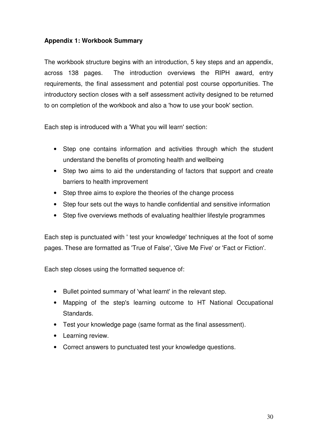#### **Appendix 1: Workbook Summary**

The workbook structure begins with an introduction, 5 key steps and an appendix, across 138 pages. The introduction overviews the RIPH award, entry requirements, the final assessment and potential post course opportunities. The introductory section closes with a self assessment activity designed to be returned to on completion of the workbook and also a 'how to use your book' section.

Each step is introduced with a 'What you will learn' section:

- Step one contains information and activities through which the student understand the benefits of promoting health and wellbeing
- Step two aims to aid the understanding of factors that support and create barriers to health improvement
- Step three aims to explore the theories of the change process
- Step four sets out the ways to handle confidential and sensitive information
- Step five overviews methods of evaluating healthier lifestyle programmes

Each step is punctuated with ' test your knowledge' techniques at the foot of some pages. These are formatted as 'True of False', 'Give Me Five' or 'Fact or Fiction'.

Each step closes using the formatted sequence of:

- Bullet pointed summary of 'what learnt' in the relevant step.
- Mapping of the step's learning outcome to HT National Occupational Standards.
- Test your knowledge page (same format as the final assessment).
- Learning review.
- Correct answers to punctuated test your knowledge questions.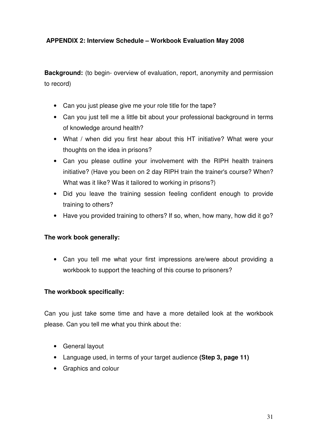#### **APPENDIX 2: Interview Schedule – Workbook Evaluation May 2008**

**Background:** (to begin- overview of evaluation, report, anonymity and permission to record)

- Can you just please give me your role title for the tape?
- Can you just tell me a little bit about your professional background in terms of knowledge around health?
- What / when did you first hear about this HT initiative? What were your thoughts on the idea in prisons?
- Can you please outline your involvement with the RIPH health trainers initiative? (Have you been on 2 day RIPH train the trainer's course? When? What was it like? Was it tailored to working in prisons?)
- Did you leave the training session feeling confident enough to provide training to others?
- Have you provided training to others? If so, when, how many, how did it go?

#### **The work book generally:**

• Can you tell me what your first impressions are/were about providing a workbook to support the teaching of this course to prisoners?

#### **The workbook specifically:**

Can you just take some time and have a more detailed look at the workbook please. Can you tell me what you think about the:

- General layout
- Language used, in terms of your target audience **(Step 3, page 11)**
- Graphics and colour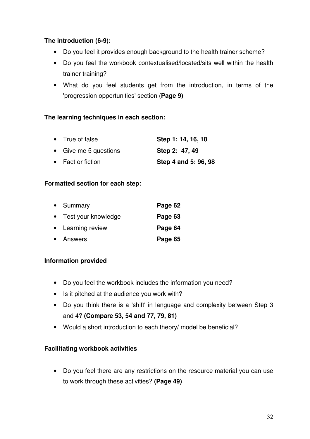#### **The introduction (6-9):**

- Do you feel it provides enough background to the health trainer scheme?
- Do you feel the workbook contextualised/located/sits well within the health trainer training?
- What do you feel students get from the introduction, in terms of the 'progression opportunities' section (**Page 9)**

#### **The learning techniques in each section:**

| • True of false       | Step 1: 14, 16, 18   |
|-----------------------|----------------------|
| • Give me 5 questions | Step 2: 47, 49       |
| • Fact or fiction     | Step 4 and 5: 96, 98 |

#### **Formatted section for each step:**

| • Summary             | Page 62 |
|-----------------------|---------|
| • Test your knowledge | Page 63 |
| • Learning review     | Page 64 |
| • Answers             | Page 65 |

#### **Information provided**

- Do you feel the workbook includes the information you need?
- Is it pitched at the audience you work with?
- Do you think there is a 'shift' in language and complexity between Step 3 and 4? **(Compare 53, 54 and 77, 79, 81)**
- Would a short introduction to each theory/ model be beneficial?

#### **Facilitating workbook activities**

• Do you feel there are any restrictions on the resource material you can use to work through these activities? **(Page 49)**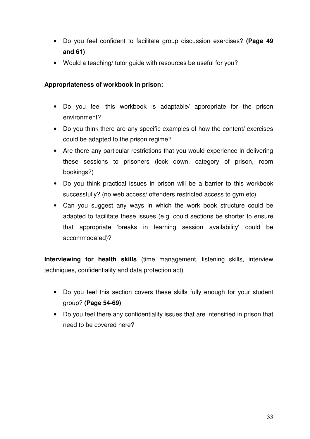- Do you feel confident to facilitate group discussion exercises? **(Page 49 and 61)**
- Would a teaching/ tutor guide with resources be useful for you?

#### **Appropriateness of workbook in prison:**

- Do you feel this workbook is adaptable/ appropriate for the prison environment?
- Do you think there are any specific examples of how the content/ exercises could be adapted to the prison regime?
- Are there any particular restrictions that you would experience in delivering these sessions to prisoners (lock down, category of prison, room bookings?)
- Do you think practical issues in prison will be a barrier to this workbook successfully? (no web access/ offenders restricted access to gym etc).
- Can you suggest any ways in which the work book structure could be adapted to facilitate these issues (e.g. could sections be shorter to ensure that appropriate 'breaks in learning session availability' could be accommodated)?

**Interviewing for health skills** (time management, listening skills, interview techniques, confidentiality and data protection act)

- Do you feel this section covers these skills fully enough for your student group? **(Page 54-69)**
- Do you feel there any confidentiality issues that are intensified in prison that need to be covered here?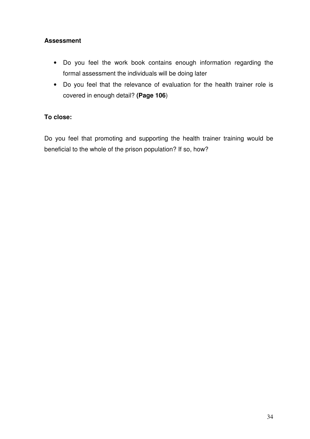#### **Assessment**

- Do you feel the work book contains enough information regarding the formal assessment the individuals will be doing later
- Do you feel that the relevance of evaluation for the health trainer role is covered in enough detail? **(Page 106**)

#### **To close:**

Do you feel that promoting and supporting the health trainer training would be beneficial to the whole of the prison population? If so, how?